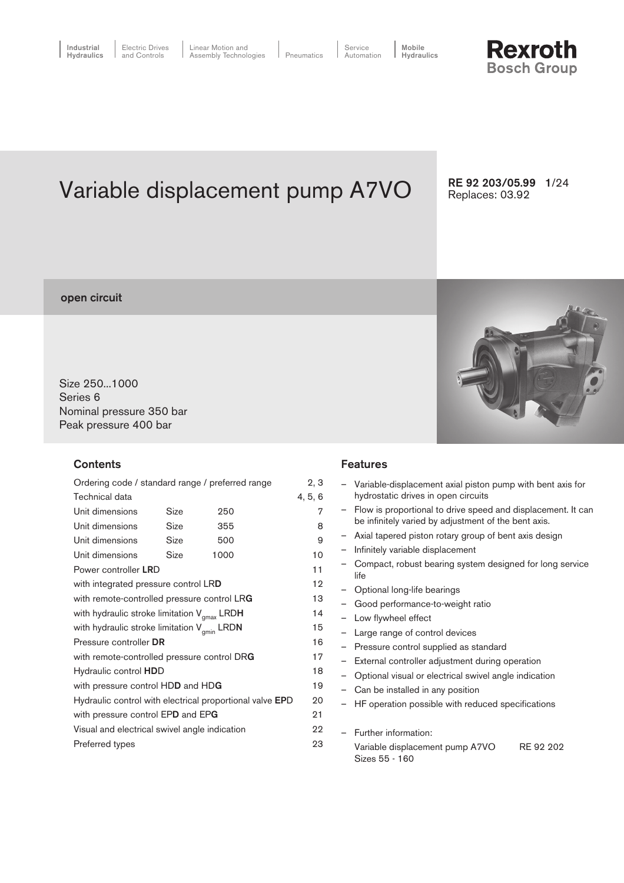# **Rexroth Bosch Group**

Variable displacement pump A7VO

RE 92 203/05.99 1/24 Replaces: 03.92

### open circuit

Size 250...1000 Series 6 Nominal pressure 350 bar Peak pressure 400 bar

#### **Contents**

| Ordering code / standard range / preferred range         |      |      |         |  |  |
|----------------------------------------------------------|------|------|---------|--|--|
| Technical data                                           |      |      | 4, 5, 6 |  |  |
| Unit dimensions                                          | Size | 250  | 7       |  |  |
| Unit dimensions                                          | Size | 355  | 8       |  |  |
| Unit dimensions                                          | Size | 500  | 9       |  |  |
| Unit dimensions                                          | Size | 1000 | 10      |  |  |
| Power controller LRD                                     |      |      |         |  |  |
| with integrated pressure control LRD                     |      |      | 12      |  |  |
| with remote-controlled pressure control LRG              |      |      |         |  |  |
| with hydraulic stroke limitation $V_{\text{max}}$ LRDH   |      |      |         |  |  |
| with hydraulic stroke limitation $V_{gmin}$ LRDN         |      |      | 15      |  |  |
| Pressure controller DR                                   |      |      | 16      |  |  |
| with remote-controlled pressure control DRG              |      |      | 17      |  |  |
| Hydraulic control HDD                                    |      |      | 18      |  |  |
| with pressure control HDD and HDG                        |      |      | 19      |  |  |
| Hydraulic control with electrical proportional valve EPD |      |      |         |  |  |
| with pressure control EPD and EPG                        |      |      |         |  |  |
| Visual and electrical swivel angle indication            |      |      |         |  |  |
| Preferred types                                          |      |      |         |  |  |

## Features

|   | Variable-displacement axial piston pump with bent axis for                                                           |  |  |  |  |  |  |
|---|----------------------------------------------------------------------------------------------------------------------|--|--|--|--|--|--|
|   | hydrostatic drives in open circuits                                                                                  |  |  |  |  |  |  |
|   | Flow is proportional to drive speed and displacement. It can<br>be infinitely varied by adjustment of the bent axis. |  |  |  |  |  |  |
|   | Axial tapered piston rotary group of bent axis design                                                                |  |  |  |  |  |  |
|   |                                                                                                                      |  |  |  |  |  |  |
|   | Infinitely variable displacement                                                                                     |  |  |  |  |  |  |
|   | Compact, robust bearing system designed for long service<br>life                                                     |  |  |  |  |  |  |
|   | Optional long-life bearings                                                                                          |  |  |  |  |  |  |
|   | Good performance-to-weight ratio                                                                                     |  |  |  |  |  |  |
|   | Low flywheel effect                                                                                                  |  |  |  |  |  |  |
|   | Large range of control devices                                                                                       |  |  |  |  |  |  |
| ì | Pressure control supplied as standard                                                                                |  |  |  |  |  |  |
|   | External controller adjustment during operation                                                                      |  |  |  |  |  |  |
|   | Optional visual or electrical swivel angle indication                                                                |  |  |  |  |  |  |
|   | Can be installed in any position                                                                                     |  |  |  |  |  |  |
|   | HF operation possible with reduced specifications                                                                    |  |  |  |  |  |  |
|   |                                                                                                                      |  |  |  |  |  |  |
|   | Further information:                                                                                                 |  |  |  |  |  |  |
|   | Variable displacement pump A7VO<br>RE 92 202                                                                         |  |  |  |  |  |  |
|   | Sizes 55 - 160                                                                                                       |  |  |  |  |  |  |
|   |                                                                                                                      |  |  |  |  |  |  |
|   |                                                                                                                      |  |  |  |  |  |  |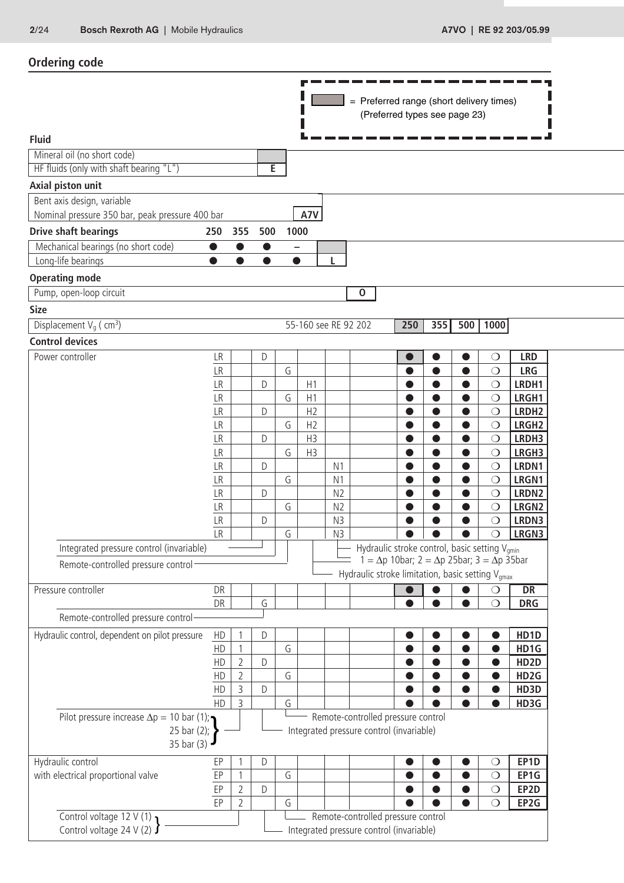| = Preferred range (short delivery times)<br>(Preferred types see page 23)<br><b>Fluid</b><br>Mineral oil (no short code)<br>HF fluids (only with shaft bearing "L")<br>E |                          |                          |
|--------------------------------------------------------------------------------------------------------------------------------------------------------------------------|--------------------------|--------------------------|
|                                                                                                                                                                          |                          |                          |
|                                                                                                                                                                          |                          |                          |
|                                                                                                                                                                          |                          |                          |
|                                                                                                                                                                          |                          |                          |
|                                                                                                                                                                          |                          |                          |
| Axial piston unit                                                                                                                                                        |                          |                          |
| Bent axis design, variable                                                                                                                                               |                          |                          |
| A7V<br>Nominal pressure 350 bar, peak pressure 400 bar                                                                                                                   |                          |                          |
| <b>Drive shaft bearings</b><br>355<br>500<br>1000<br>250                                                                                                                 |                          |                          |
| Mechanical bearings (no short code)<br>$\bullet$<br>$\bullet$<br>$\bullet$                                                                                               |                          |                          |
| Long-life bearings<br>$\bullet$<br>$\bullet$<br>$\bullet$<br>$\bullet$<br>L                                                                                              |                          |                          |
| <b>Operating mode</b>                                                                                                                                                    |                          |                          |
| Pump, open-loop circuit<br>${\bf 0}$                                                                                                                                     |                          |                          |
| <b>Size</b>                                                                                                                                                              |                          |                          |
| 55-160 see RE 92 202<br>250<br>355<br>Displacement $V_q$ (cm <sup>3</sup> )<br>500                                                                                       | 1000                     |                          |
| <b>Control devices</b>                                                                                                                                                   |                          |                          |
| Power controller<br>LR<br>D<br>O                                                                                                                                         | $\bigcirc$               | <b>LRD</b>               |
| G<br>LR<br>●<br>LR<br>D<br>H1<br>$\bullet$<br>$\bullet$<br>$\bullet$                                                                                                     | $\bigcirc$<br>$\bigcirc$ | <b>LRG</b><br>LRDH1      |
| G<br>H1<br><b>LR</b><br>$\bullet$<br>$\bullet$                                                                                                                           | $\bigcirc$               | LRGH1                    |
| H2<br>LR<br>D<br>$\bullet$<br>$\bullet$                                                                                                                                  | $\bigcirc$               | LRDH <sub>2</sub>        |
| G<br>H <sub>2</sub><br>LR                                                                                                                                                | $\bigcirc$               | LRGH <sub>2</sub>        |
| H <sub>3</sub><br>$\mathsf{LR}$<br>D                                                                                                                                     | $\bigcirc$               | LRDH3                    |
| H <sub>3</sub><br>LR<br>G                                                                                                                                                | $\bigcirc$               | LRGH3                    |
| LR<br>$\mathsf{D}%$<br>N <sub>1</sub><br>$\bullet$<br>$\bullet$<br>0                                                                                                     | $\bigcirc$               | LRDN1                    |
| LR<br>G<br>N <sub>1</sub><br>$\bullet$<br>$\bullet$<br>LR<br>N <sub>2</sub><br>D<br>●<br>●                                                                               | $\bigcirc$<br>$\bigcirc$ | LRGN1<br>LRDN2           |
| LR<br>G<br>N <sub>2</sub>                                                                                                                                                | $\bigcirc$               | LRGN <sub>2</sub>        |
| <b>LR</b><br>N3<br>$\mathsf{D}$                                                                                                                                          | $\bigcirc$               | LRDN3                    |
| G<br>N3<br>LR                                                                                                                                                            |                          | LRGN3                    |
| Hydraulic stroke control, basic setting V <sub>amin</sub><br>Integrated pressure control (invariable)                                                                    |                          |                          |
| $1 = \Delta p$ 10bar; $2 = \Delta p$ 25bar; $3 = \Delta p$ 35bar<br>Remote-controlled pressure control-<br>Hydraulic stroke limitation, basic setting V <sub>amax</sub>  |                          |                          |
| Pressure controller<br>DR                                                                                                                                                | ◯                        | <b>DR</b>                |
| G<br>DR                                                                                                                                                                  | $\bigcirc$               | <b>DRG</b>               |
| Remote-controlled pressure control                                                                                                                                       |                          |                          |
| Hydraulic control, dependent on pilot pressure<br>HD<br>D                                                                                                                |                          | HD1D                     |
| G<br>${\sf HD}$<br>0                                                                                                                                                     | $\bullet$                | HD1G                     |
| $\overline{2}$<br>$\mathsf D$<br>HD<br>$\bullet$                                                                                                                         |                          | HD <sub>2</sub> D        |
| $\overline{2}$<br>G<br>HD<br>3<br>HD<br>$\mathsf D$                                                                                                                      |                          | HD <sub>2G</sub><br>HD3D |
| HD<br>3<br>G                                                                                                                                                             |                          | HD3G                     |
| Remote-controlled pressure control<br>Pilot pressure increase $\Delta p = 10$ bar (1);                                                                                   |                          |                          |
| Integrated pressure control (invariable)<br>25 bar (2);<br>35 bar (3)                                                                                                    |                          |                          |
| Hydraulic control<br>EP<br>D<br>$\bullet$                                                                                                                                | $\bigcirc$               | EP1D                     |
| with electrical proportional valve<br>G<br>EP<br>$\mathbf{1}$<br>$\bullet$                                                                                               | $\bigcirc$               | EP1G                     |
| $\overline{2}$<br>EP<br>$\mathsf D$                                                                                                                                      | $\bigcirc$               | EP2D                     |
| EP<br>$\overline{2}$<br>G<br>Control voltage 12 V (1)<br>Remote-controlled pressure control                                                                              | $\bigcirc$               | EP2G                     |
| Control voltage 24 V (2) $\int$<br>Integrated pressure control (invariable)                                                                                              |                          |                          |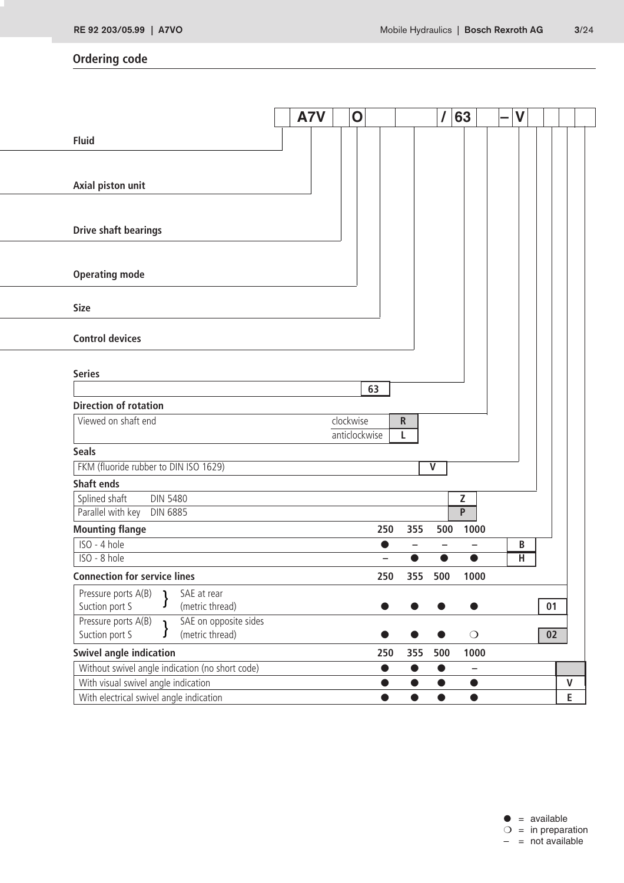# **Ordering code**

|                                                                                        | A7V | $\mathbf 0$   |                          |                          | $\prime$                | 63                                    |                |              |
|----------------------------------------------------------------------------------------|-----|---------------|--------------------------|--------------------------|-------------------------|---------------------------------------|----------------|--------------|
| <b>Fluid</b>                                                                           |     |               |                          |                          |                         |                                       |                |              |
|                                                                                        |     |               |                          |                          |                         |                                       |                |              |
|                                                                                        |     |               |                          |                          |                         |                                       |                |              |
| Axial piston unit                                                                      |     |               |                          |                          |                         |                                       |                |              |
|                                                                                        |     |               |                          |                          |                         |                                       |                |              |
| <b>Drive shaft bearings</b>                                                            |     |               |                          |                          |                         |                                       |                |              |
|                                                                                        |     |               |                          |                          |                         |                                       |                |              |
| <b>Operating mode</b>                                                                  |     |               |                          |                          |                         |                                       |                |              |
|                                                                                        |     |               |                          |                          |                         |                                       |                |              |
| <b>Size</b>                                                                            |     |               |                          |                          |                         |                                       |                |              |
|                                                                                        |     |               |                          |                          |                         |                                       |                |              |
| <b>Control devices</b>                                                                 |     |               |                          |                          |                         |                                       |                |              |
|                                                                                        |     |               |                          |                          |                         |                                       |                |              |
| <b>Series</b>                                                                          |     |               |                          |                          |                         |                                       |                |              |
|                                                                                        |     |               |                          |                          |                         |                                       |                |              |
|                                                                                        |     |               | 63                       |                          |                         |                                       |                |              |
| <b>Direction of rotation</b>                                                           |     |               |                          |                          |                         |                                       |                |              |
| Viewed on shaft end                                                                    |     | clockwise     |                          | ${\sf R}$                |                         |                                       |                |              |
|                                                                                        |     | anticlockwise |                          | L                        |                         |                                       |                |              |
| <b>Seals</b>                                                                           |     |               |                          |                          |                         |                                       |                |              |
| FKM (fluoride rubber to DIN ISO 1629)<br><b>Shaft ends</b>                             |     |               |                          |                          | $\overline{\mathsf{V}}$ |                                       |                |              |
| Splined shaft<br><b>DIN 5480</b>                                                       |     |               |                          |                          |                         | Z                                     |                |              |
| Parallel with key<br><b>DIN 6885</b>                                                   |     |               |                          |                          |                         | $\overline{P}$                        |                |              |
| <b>Mounting flange</b>                                                                 |     |               | 250                      | 355                      | 500                     | 1000                                  |                |              |
| ISO - 4 hole                                                                           |     |               | $\bullet$                | $\overline{\phantom{0}}$ |                         |                                       | В              |              |
| ISO - 8 hole                                                                           |     |               | $\overline{\phantom{0}}$ | ●                        |                         | $\bullet$                             | $\overline{H}$ |              |
| <b>Connection for service lines</b>                                                    |     |               | 250                      |                          | 355 500                 | 1000                                  |                |              |
| Pressure ports A(B)<br>SAE at rear<br>ı<br>ſ<br>Suction port S<br>(metric thread)      |     |               | $\bullet$                |                          |                         | $\bullet$                             |                | 01           |
| SAE on opposite sides<br>Pressure ports A(B)<br>$\mathbf{I}$                           |     |               |                          |                          |                         |                                       |                |              |
| Suction port S<br>(metric thread)<br>J                                                 |     |               |                          |                          |                         | $\bigcirc$                            |                | 02           |
| <b>Swivel angle indication</b>                                                         |     |               | 250                      | 355                      | 500                     | 1000                                  |                |              |
| Without swivel angle indication (no short code)<br>With visual swivel angle indication |     |               | $\bullet$<br>$\bullet$   | $\bullet$<br>$\bullet$   | $\bullet$<br>$\bullet$  | $\overline{\phantom{0}}$<br>$\bullet$ |                | $\mathsf{V}$ |

 $\bullet$  = available  $\bigcirc$  = in preparation  $-$  = not available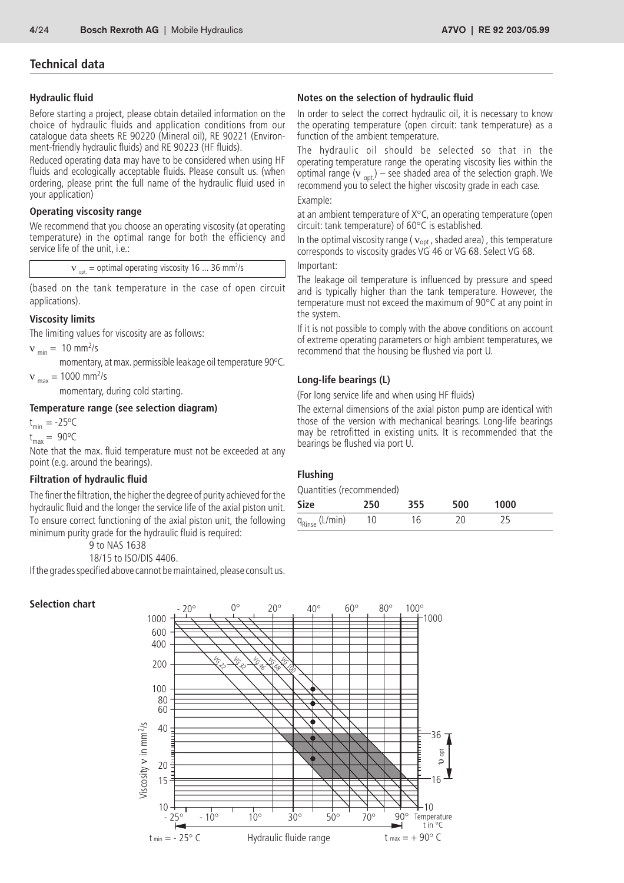## **Technical data**

#### **Hydraulic fluid**

Before starting a project, please obtain detailed information on the choice of hydraulic fluids and application conditions from our catalogue data sheets RE 90220 (Mineral oil), RE 90221 (Environment-friendly hydraulic fluids) and RE 90223 (HF fluids).

Reduced operating data may have to be considered when using HF fluids and ecologically acceptable fluids. Please consult us. (when ordering, please print the full name of the hydraulic fluid used in your application)

#### **Operating viscosity range**

We recommend that you choose an operating viscosity (at operating temperature) in the optimal range for both the efficiency and service life of the unit, i.e.:

 $v_{\text{opt}} =$  optimal operating viscosity 16 ... 36 mm<sup>2</sup>/s

(based on the tank temperature in the case of open circuit applications).

#### **Viscosity limits**

The limiting values for viscosity are as follows:

 $v_{\text{min}} = 10 \text{ mm}^2$ /s

momentary, at max. permissible leakage oil temperature 90°C.

 $v_{\text{max}} = 1000 \text{ mm}^2/\text{s}$ 

momentary, during cold starting.

#### **Temperature range (see selection diagram)**

 $t_{min} = -25$ <sup>o</sup>C

 $t_{\text{max}} = 90^{\circ}C$ 

Note that the max. fluid temperature must not be exceeded at any point (e.g. around the bearings).

#### **Filtration of hydraulic fluid**

The finer the filtration, the higher the degree of purity achieved for the hydraulic fluid and the longer the service life of the axial piston unit. To ensure correct functioning of the axial piston unit, the following minimum purity grade for the hydraulic fluid is required:

9 to NAS 1638

```
18/15 to ISO/DIS 4406.
```
If the grades specified above cannot be maintained, please consult us.

#### **Selection chart**



In order to select the correct hydraulic oil, it is necessary to know the operating temperature (open circuit: tank temperature) as a function of the ambient temperature.

The hydraulic oil should be selected so that in the operating temperature range the operating viscosity lies within the optimal range ( $v_{\text{opt}}$ ) – see shaded area of the selection graph. We recommend you to select the higher viscosity grade in each case. Example:

at an ambient temperature of X°C, an operating temperature (open circuit: tank temperature) of 60°C is established.

In the optimal viscosity range ( $v_{opt}$ , shaded area), this temperature corresponds to viscosity grades VG 46 or VG 68. Select VG 68.

Important:

The leakage oil temperature is influenced by pressure and speed and is typically higher than the tank temperature. However, the temperature must not exceed the maximum of 90°C at any point in the system.

If it is not possible to comply with the above conditions on account of extreme operating parameters or high ambient temperatures, we recommend that the housing be flushed via port U.

#### **Long-life bearings (L)**

(For long service life and when using HF fluids)

The external dimensions of the axial piston pump are identical with those of the version with mechanical bearings. Long-life bearings may be retrofitted in existing units. It is recommended that the bearings be flushed via port U.

#### **Flushing**

Quantities (recommended)

| Size                       | 250  | 355 | 500 | 1000 |  |
|----------------------------|------|-----|-----|------|--|
| q <sub>Rinse</sub> (L/min) | - 10 | 16  |     |      |  |

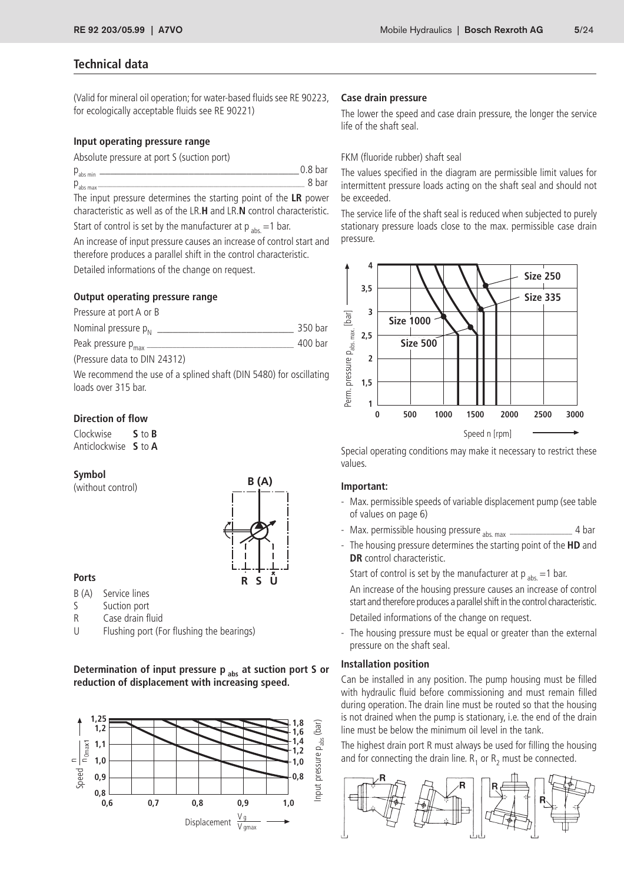## **Technical data**

(Valid for mineral oil operation; for water-based fluids see RE 90223, for ecologically acceptable fluids see RE 90221)

#### **Input operating pressure range**

| Absolute pressure at port S (suction port) |  |
|--------------------------------------------|--|
|--------------------------------------------|--|

| $P_{\text{abs min}}$                                                                                             | 0.8 bar |
|------------------------------------------------------------------------------------------------------------------|---------|
| $P_{\text{abs max}}$                                                                                             |         |
| . The following concerns the second service to the consideration of the self-shape of $\mathbf{B}_i$ is a second |         |

The input pressure determines the starting point of the **LR** power characteristic as well as of the LR.**H** and LR.**N** control characteristic. Start of control is set by the manufacturer at  $p_{abs} = 1$  bar.

An increase of input pressure causes an increase of control start and therefore produces a parallel shift in the control characteristic.

Detailed informations of the change on request.

#### **Output operating pressure range**

Pressure at port A or B

| Nominal pressure $p_N$  | 350 har |
|-------------------------|---------|
| Peak pressure $p_{max}$ | 400 bar |

(Pressure data to DIN 24312)

We recommend the use of a splined shaft (DIN 5480) for oscillating loads over 315 bar.

### **Direction of flow**

Clockwise **S** to **B** Anticlockwise **S** to **A**

#### **Symbol**

(without control)



#### **Ports**

B (A) Service lines

- S Suction port
- R Case drain fluid
- U Flushing port (For flushing the bearings)

**Determination of input pressure p**<sub>abs</sub> at suction port S or **reduction of displacement with increasing speed.**



#### **Case drain pressure**

The lower the speed and case drain pressure, the longer the service life of the shaft seal.

#### FKM (fluoride rubber) shaft seal

The values specified in the diagram are permissible limit values for intermittent pressure loads acting on the shaft seal and should not be exceeded.

The service life of the shaft seal is reduced when subjected to purely stationary pressure loads close to the max. permissible case drain pressure.



Special operating conditions may make it necessary to restrict these values.

#### **Important:**

- Max. permissible speeds of variable displacement pump (see table of values on page 6)
- Max. permissible housing pressure abs. max \_\_\_\_\_\_\_\_\_\_\_\_\_\_\_\_\_ 4 bar
- The housing pressure determines the starting point of the **HD** and **DR** control characteristic.

Start of control is set by the manufacturer at  $p_{abs} = 1$  bar.

An increase of the housing pressure causes an increase of control start and therefore produces a parallel shift in the control characteristic. Detailed informations of the change on request.

- The housing pressure must be equal or greater than the external pressure on the shaft seal.

#### **Installation position**

Can be installed in any position. The pump housing must be filled with hydraulic fluid before commissioning and must remain filled during operation. The drain line must be routed so that the housing is not drained when the pump is stationary, i.e. the end of the drain line must be below the minimum oil level in the tank.

The highest drain port R must always be used for filling the housing and for connecting the drain line.  $R_1$  or  $R_2$  must be connected.

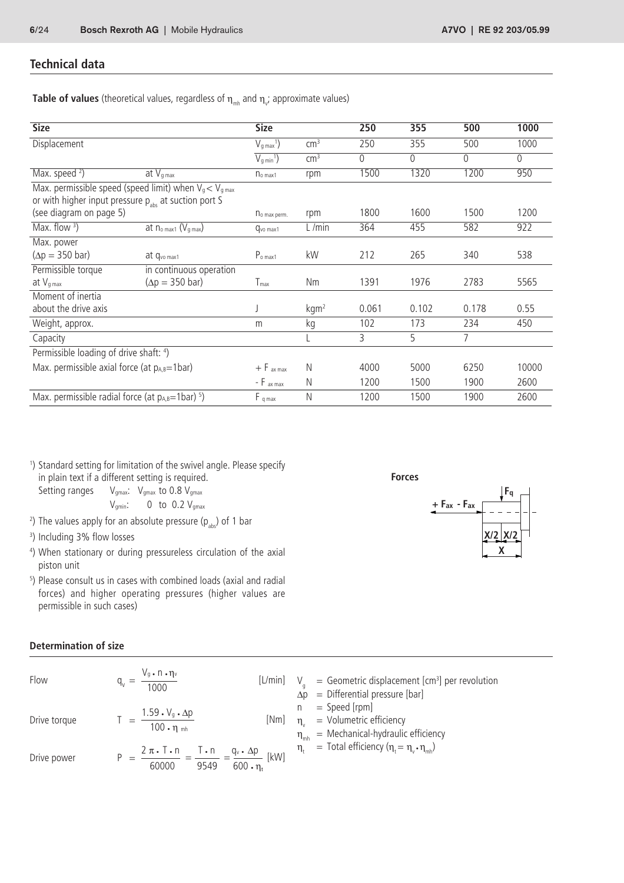## **Technical data**

**Table of values** (theoretical values, regardless of  $\eta_{_{\sf mb}}$  and  $\eta_{_{\sf v^{\prime}}}$  approximate values)

| <b>Size</b>                                               |                                                            | <b>Size</b>                 |                  | 250   | 355          | 500          | 1000         |
|-----------------------------------------------------------|------------------------------------------------------------|-----------------------------|------------------|-------|--------------|--------------|--------------|
| Displacement                                              |                                                            | $V_{q \max}$ <sup>1</sup> ) | $\text{cm}^3$    | 250   | 355          | 500          | 1000         |
|                                                           |                                                            | $V_{q min}$ <sup>1</sup> )  | $\text{cm}^3$    | 0     | $\mathbf{0}$ | $\mathbf{0}$ | $\mathbf{0}$ |
| Max. speed $2)$                                           | at $V_{q \max}$                                            | n <sub>o max1</sub>         | rpm              | 1500  | 1320         | 1200         | 950          |
| or with higher input pressure $p_{abs}$ at suction port S | Max. permissible speed (speed limit) when $V_q < V_{qmax}$ |                             |                  |       |              |              |              |
| (see diagram on page 5)                                   |                                                            | no max perm.                | rpm              | 1800  | 1600         | 1500         | 1200         |
| Max. flow $3)$                                            | at no max1 (Vg max)                                        | Qvo max1                    | L/min            | 364   | 455          | 582          | 922          |
| Max. power                                                |                                                            |                             |                  |       |              |              |              |
| $(\Delta p = 350$ bar)                                    | at Q <sub>vo max1</sub>                                    | $P_{o \, max1}$             | kW               | 212   | 265          | 340          | 538          |
| Permissible torque                                        | in continuous operation                                    |                             |                  |       |              |              |              |
| at $V_{g \max}$                                           | $(\Delta p = 350$ bar)                                     | $T_{max}$                   | Nm               | 1391  | 1976         | 2783         | 5565         |
| Moment of inertia                                         |                                                            |                             |                  |       |              |              |              |
| about the drive axis                                      |                                                            |                             | kgm <sup>2</sup> | 0.061 | 0.102        | 0.178        | 0.55         |
| Weight, approx.                                           |                                                            | m                           | kg               | 102   | 173          | 234          | 450          |
| Capacity                                                  |                                                            |                             |                  | 3     | 5            | 7            |              |
| Permissible loading of drive shaft: 4)                    |                                                            |                             |                  |       |              |              |              |
| Max. permissible axial force (at $p_{A,B}=1$ bar)         |                                                            | $+$ F $_{ax \, max}$        | N                | 4000  | 5000         | 6250         | 10000        |
|                                                           |                                                            | - $F$ ax max                | N                | 1200  | 1500         | 1900         | 2600         |
| Max. permissible radial force (at $p_{A,B}=1$ bar) $5$ )  |                                                            | $F_{q max}$                 | $\mathsf{N}$     | 1200  | 1500         | 1900         | 2600         |

1 ) Standard setting for limitation of the swivel angle. Please specify in plain text if a different setting is required. Setting ranges  $V_{\text{gmax}}$ :  $V_{\text{gmax}}$  to 0.8  $V_{\text{gmax}}$ 

 $V_{gmin}$ : 0 to 0.2  $V_{gmax}$ 

- <sup>2</sup>) The values apply for an absolute pressure (p<sub>abs</sub>) of 1 bar
- 3 ) Including 3% flow losses
- 4 ) When stationary or during pressureless circulation of the axial piston unit
- 5 ) Please consult us in cases with combined loads (axial and radial forces) and higher operating pressures (higher values are permissible in such cases)

### **Determination of size**

| Flow         | $V_g \cdot n \cdot \eta_v$<br>$q_v =$<br>$\overline{1000}$                                                                            |      | [L/min] $V_q =$ Geometric displacement [cm <sup>3</sup> ] per revolution<br>$\Delta p$ = Differential pressure [bar] |
|--------------|---------------------------------------------------------------------------------------------------------------------------------------|------|----------------------------------------------------------------------------------------------------------------------|
| Drive torque | $\frac{1.59 \cdot V_g \cdot \Delta p}{ }$<br>$100 \cdot \eta$ <sub>mh</sub>                                                           | [Nm] | $=$ Speed [rpm]<br>$\eta_{u}$ = Volumetric efficiency<br>= Mechanical-hydraulic efficiency<br>$\eta_{\rm mh}$        |
| Drive power  | $\frac{2 \pi \cdot T \cdot n}{T} = \frac{T \cdot n}{T \cdot T} = \frac{q_v \cdot \Delta p}{T}$ [kW]<br>$600 \cdot n$<br>60000<br>9549 |      | $\eta_t$ = Total efficiency ( $\eta_t = \eta_v \cdot \eta_{mb}$ )                                                    |

**Forces**

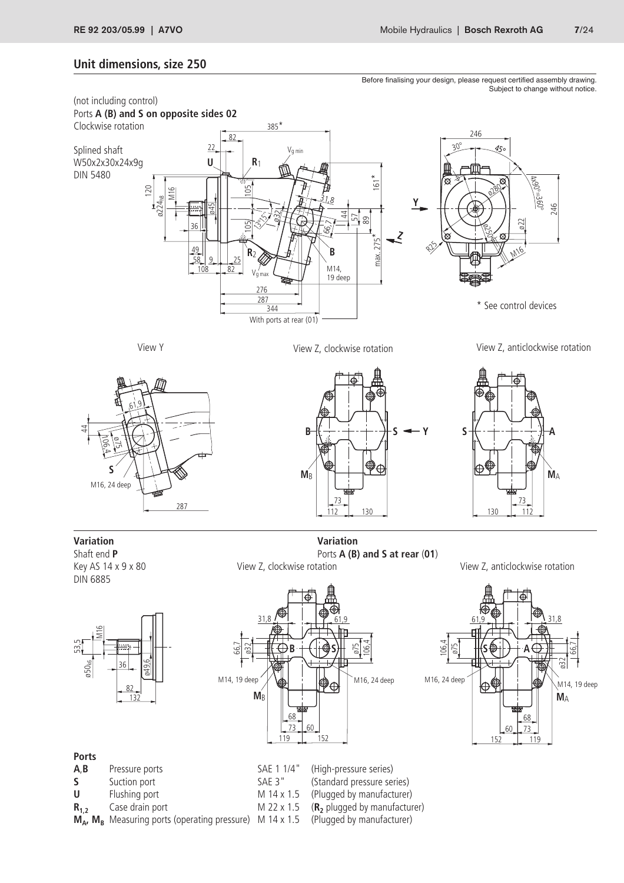## **Unit dimensions, size 250**

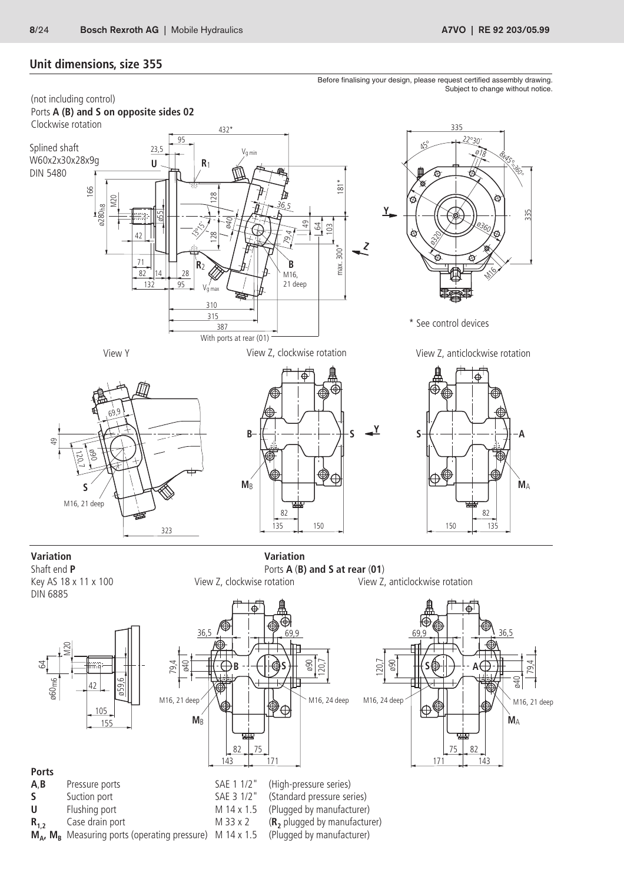$M_A$ ,  $M_B$  Measuring ports (operating pressure) M 14 x 1.5

## **Unit dimensions, size 355**

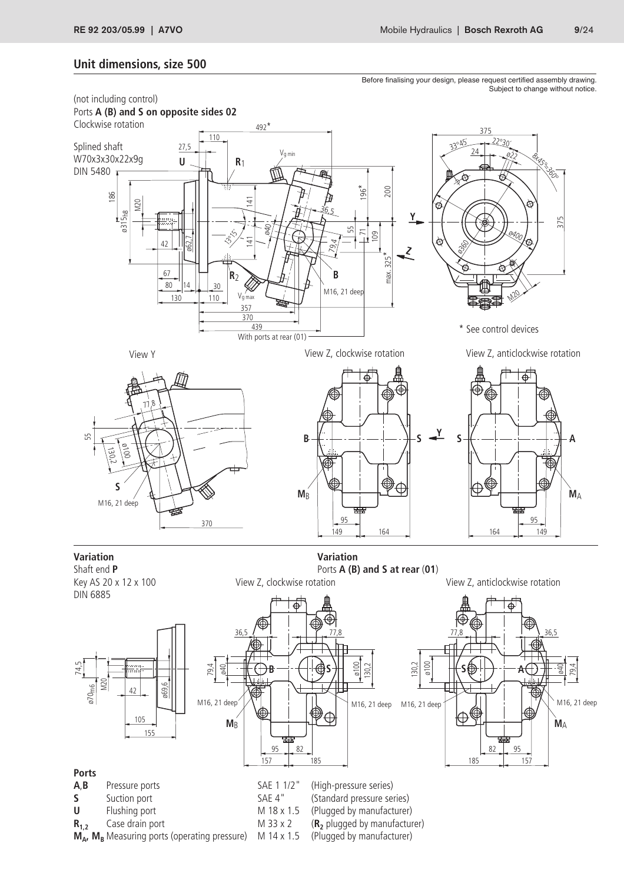## **Unit dimensions, size 500**

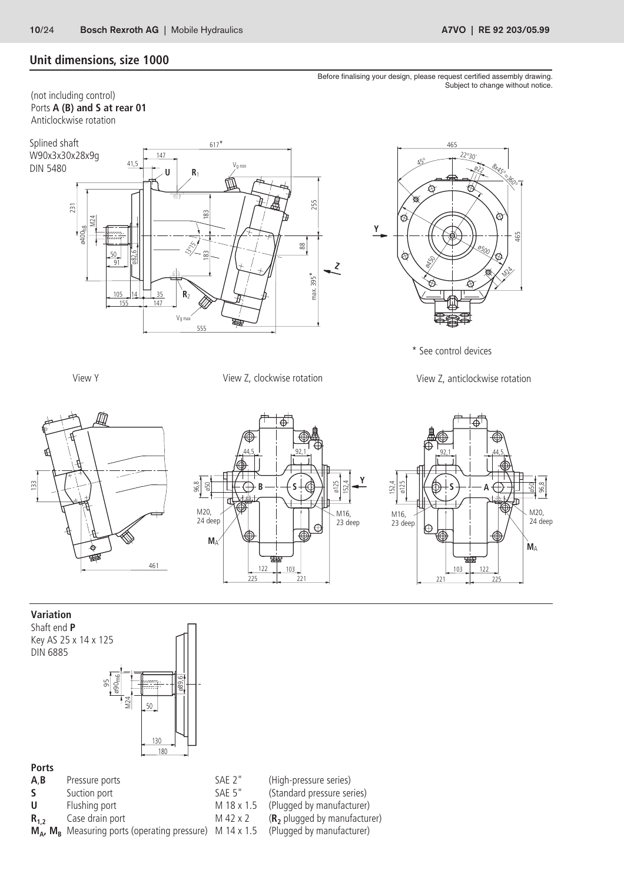## **Unit dimensions, size 1000**

(not including control) Ports **A (B) and S at rear 01** Anticlockwise rotation





\* See control devices

View Y View Z, clockwise rotation View Z, anticlockwise rotation







#### **Variation**

Shaft end **P** Key AS 25 x 14 x 125 DIN 6885



## **Ports**

- 
- 
- 
- 
- Case drain port **M** 42 x 2 **(R<sub>2</sub>** plugged by manufacturer)<br>Measuring ports (operating pressure) M 14 x 1.5 (Plugged by manufacturer)  $M_A$ ,  $M_B$  Measuring ports (operating pressure) M 14 x 1.5

**A,B** Pressure ports SAE 2" (High-pressure series)<br>
S Suction port SAE 5" (Standard pressure series)

- **S** Suction port SAE 5" (Standard pressure series)<br> **U** Flushing port M 18 x 1.5 (Plugged by manufacturer)
	-
- **U** Flushing port M 18 x 1.5 (Plugged by manufacturer)<br> **R**<sub>1</sub>, Case drain port M 42 x 2 (**R**<sub>2</sub> plugged by manufacturer)

Before finalising your design, please request certified assembly drawing. Subject to change without notice.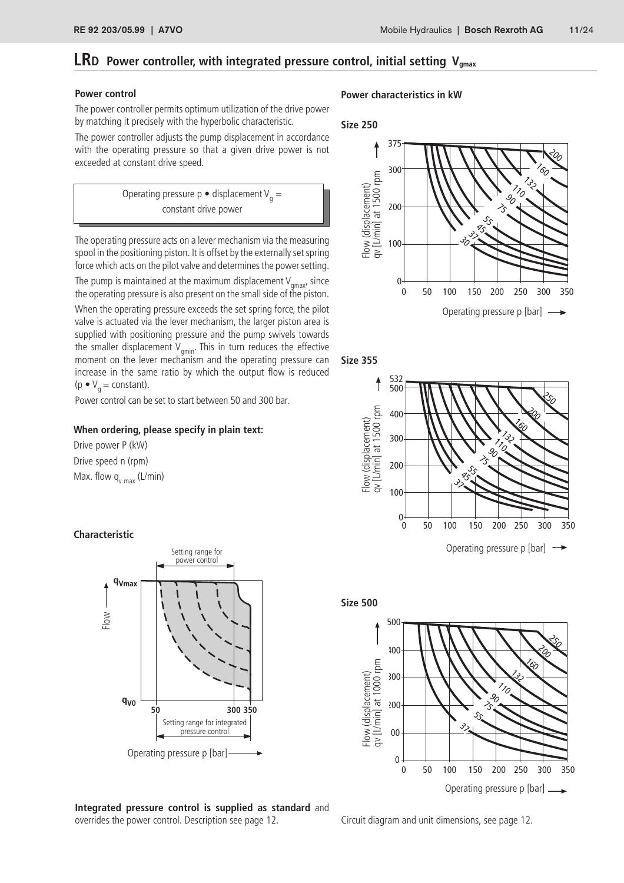## **LRD** Power controller, with integrated pressure control, initial setting V<sub>gmax</sub>

#### **Power control**

The power controller permits optimum utilization of the drive power by matching it precisely with the hyperbolic characteristic.

The power controller adjusts the pump displacement in accordance with the operating pressure so that a given drive power is not exceeded at constant drive speed.



The operating pressure acts on a lever mechanism via the measuring spool in the positioning piston. It is offset by the externally set spring force which acts on the pilot valve and determines the power setting.

The pump is maintained at the maximum displacement  $V_{qmax'}$  since the operating pressure is also present on the small side of the piston.

When the operating pressure exceeds the set spring force, the pilot valve is actuated via the lever mechanism, the larger piston area is supplied with positioning pressure and the pump swivels towards the smaller displacement  $V_{\text{amin}}$ . This in turn reduces the effective moment on the lever mechanism and the operating pressure can increase in the same ratio by which the output flow is reduced (p  $\bullet$  V<sub>a</sub> = constant).

Power control can be set to start between 50 and 300 bar.

#### **When ordering, please specify in plain text:**

Drive power P (kW) Drive speed n (rpm) Max. flow  $q_{v \text{ max}}$  (L/min)

#### **Characteristic**



**Integrated pressure control is supplied as standard** and overrides the power control. Description see page 12.

#### **Power characteristics in kW**









Circuit diagram and unit dimensions, see page 12.

Operating pressure p [bar]

 $\mathcal{C}_{\mathcal{O}}$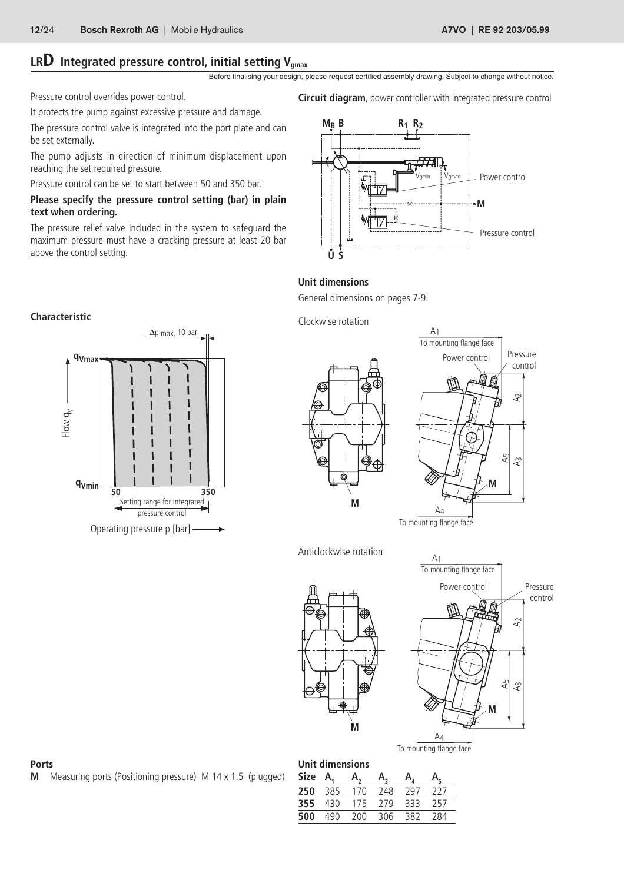# LRD Integrated pressure control, initial setting V<sub>gmax</sub>

Before finalising your design, please request certified assembly drawing. Subject to change without notice.

Pressure control overrides power control.

It protects the pump against excessive pressure and damage.

The pressure control valve is integrated into the port plate and can be set externally.

The pump adjusts in direction of minimum displacement upon reaching the set required pressure.

Pressure control can be set to start between 50 and 350 bar.

#### **Please specify the pressure control setting (bar) in plain text when ordering.**

The pressure relief valve included in the system to safeguard the maximum pressure must have a cracking pressure at least 20 bar above the control setting.

**Circuit diagram**, power controller with integrated pressure control



### **Unit dimensions**

General dimensions on pages 7-9.

Clockwise rotation







Anticlockwise rotation





#### **Ports**

**M** Measuring ports (Positioning pressure) M 14 x 1.5 (plugged)

| Unit dimensions |     |     |     |     |     |  |  |  |
|-----------------|-----|-----|-----|-----|-----|--|--|--|
| Size            | Α.  | Α.  | Α.  | Α.  |     |  |  |  |
| 250             | 385 | 170 | 248 | 297 | 227 |  |  |  |
| 355             | 430 | 175 | 279 | 333 | 257 |  |  |  |
| 500             | 490 | 200 | 306 | 382 | 284 |  |  |  |

#### **Characteristic**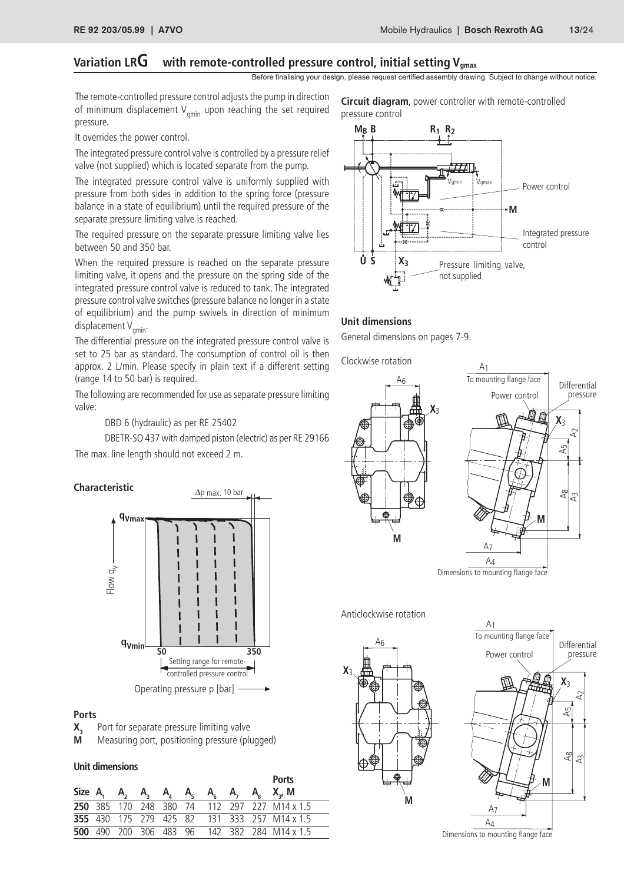## Variation LRG vith remote-controlled pressure control, initial setting V<sub>gmax</sub>

Before finalising your design, please request certified assembly drawing. Subject to change without notice.

The remote-controlled pressure control adjusts the pump in direction of minimum displacement  $V_{\text{cmin}}$  upon reaching the set required pressure.

**Circuit diagram**, power controller with remote-controlled pressure control

It overrides the power control.

The integrated pressure control valve is controlled by a pressure relief valve (not supplied) which is located separate from the pump.

The integrated pressure control valve is uniformly supplied with pressure from both sides in addition to the spring force (pressure balance in a state of equilibrium) until the required pressure of the separate pressure limiting valve is reached.

The required pressure on the separate pressure limiting valve lies between 50 and 350 bar.

When the required pressure is reached on the separate pressure limiting valve, it opens and the pressure on the spring side of the integrated pressure control valve is reduced to tank. The integrated pressure control valve switches (pressure balance no longer in a state of equilibrium) and the pump swivels in direction of minimum displacement  $V_{\text{amin}}$ .

The differential pressure on the integrated pressure control valve is set to 25 bar as standard. The consumption of control oil is then approx. 2 L/min. Please specify in plain text if a different setting (range 14 to 50 bar) is required.

The following are recommended for use as separate pressure limiting valve:

DBD 6 (hydraulic) as per RE 25402

DBETR-SO 437 with damped piston (electric) as per RE 29166 The max. line length should not exceed 2 m.



#### **Ports**

- **X<sub>3</sub>** Port for separate pressure limiting valve<br>**M** Measuring port positioning pressure (pli
- **M** Measuring port, positioning pressure (plugged)

#### **Unit dimensions**

|  |  |  |  | <b>Ports</b>                                        |
|--|--|--|--|-----------------------------------------------------|
|  |  |  |  | Size A, A, A, A, A, A, A, A, A, X, M                |
|  |  |  |  | <b>250</b> 385 170 248 380 74 112 297 227 M14 x 1.5 |
|  |  |  |  | <b>355</b> 430 175 279 425 82 131 333 257 M14 x 1.5 |
|  |  |  |  | <b>500</b> 490 200 306 483 96 142 382 284 M14 x 1.5 |



#### **Unit dimensions**

General dimensions on pages 7-9.

Clockwise rotation



Dimensions to mounting flange face

Anticlockwise rotation



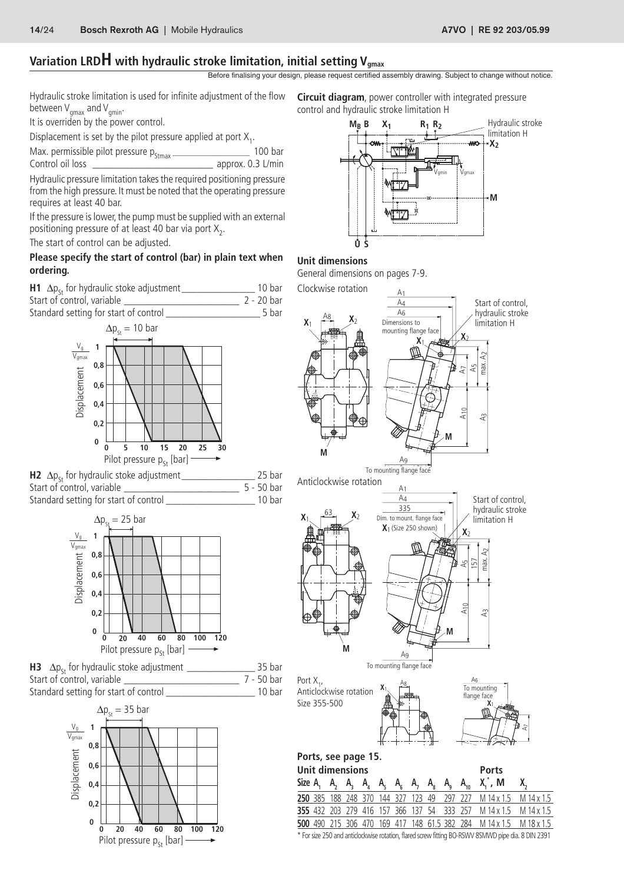# Variation LRDH with hydraulic stroke limitation, initial setting V<sub>gmax</sub>

Before finalising your design, please request certified assembly drawing. Subject to change without notice.

Hydraulic stroke limitation is used for infinite adjustment of the flow between  $V_{\text{cmax}}$  and  $V_{\text{cmin}}$ .

It is overriden by the power control.

Displacement is set by the pilot pressure applied at port  $X_1$ .

Max. permissible pilot pressure  $p_{\text{strax}} =$  approx. 0.3 L/min Control oil loss

approx. 0.3 L/min

Hydraulic pressure limitation takes the required positioning pressure from the high pressure. It must be noted that the operating pressure requires at least 40 bar.

If the pressure is lower, the pump must be supplied with an external positioning pressure of at least 40 bar via port  $X_2$ .

The start of control can be adjusted.

### **Please specify the start of control (bar) in plain text when ordering.**







**H3** ∆pSt for hydraulic stoke adjustment \_\_\_\_\_\_\_\_\_\_\_\_\_ 35 bar Start of control, variable Standard setting for start of control \_\_\_\_\_\_\_\_\_\_\_\_\_\_\_\_\_ 10 bar







#### **Unit dimensions**

General dimensions on pages 7-9.



\* For size 250 and anticlockwise rotation, flared screw fitting BO-RSWV 8SMWD pipe dia. 8 DIN 2391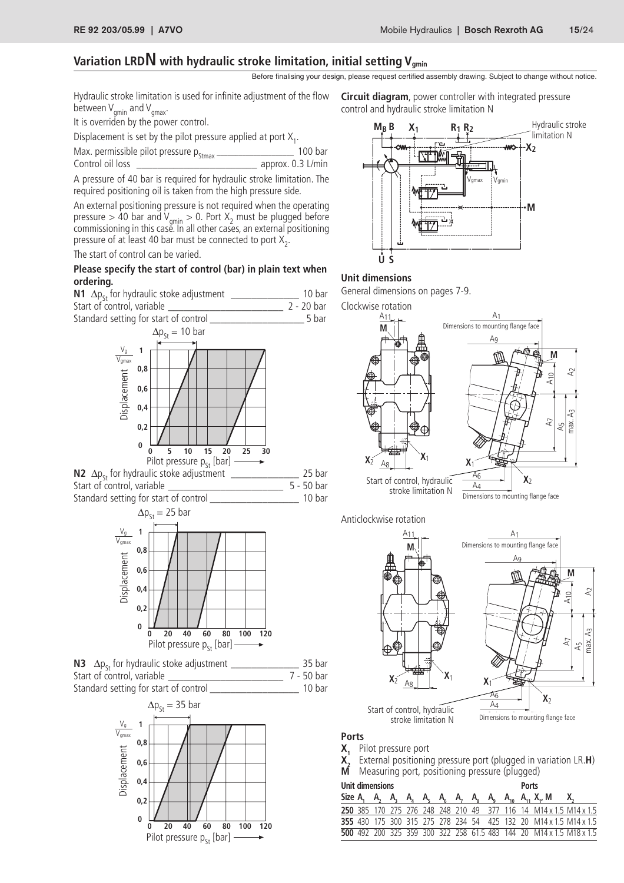## Variation LRD**N** with hydraulic stroke limitation, initial setting V<sub>amin</sub>

Before finalising your design, please request certified assembly drawing. Subject to change without notice.

Hydraulic stroke limitation is used for infinite adjustment of the flow between  $V_{\text{amin}}$  and  $V_{\text{gmax}}$ .

It is overriden by the power control.

Displacement is set by the pilot pressure applied at port  $X_1$ .

Max. permissible pilot pressure  $p_{\text{strax}} =$  approx. 0.3 L/min Control oil loss

approx. 0.3 L/min

A pressure of 40 bar is required for hydraulic stroke limitation. The required positioning oil is taken from the high pressure side.

An external positioning pressure is not required when the operating pressure  $> 40$  bar and V<sub>gmin</sub>  $> 0$ . Port X<sub>2</sub> must be plugged before commissioning in this case. In all other cases, an external positioning pressure of at least 40 bar must be connected to port  $X_2$ .

The start of control can be varied.

#### **Please specify the start of control (bar) in plain text when ordering. Unit dimensions**

**N1**  $\Delta p_{St}$  for hydraulic stoke adjustment  $\frac{1}{2}$  - 20 bar Start of control. variable Start of control, variable



**N2** ∆pSt for hydraulic stoke adjustment \_\_\_\_\_\_\_\_\_\_\_\_\_ 25 bar Start of control, variable Standard setting for start of control example that the 10 bar







**Circuit diagram**, power controller with integrated pressure control and hydraulic stroke limitation N



General dimensions on pages 7-9.

Clockwise rotation





**Ports**

- 
- **X<sub>1</sub>** Pilot pressure port<br>**X**<sub>2</sub> External positionin **X2** External positioning pressure port (plugged in variation LR.**H**)
- Measuring port, positioning pressure (plugged)

#### **Unit dimensions Ports**

|  |  |  |  |  |  | Size A, A, A, A, A, A, A, A, A, A, A, A, X, M X,                         |  |
|--|--|--|--|--|--|--------------------------------------------------------------------------|--|
|  |  |  |  |  |  | <b>250</b> 385 170 275 276 248 248 210 49 377 116 14 M14 x 1.5 M14 x 1.5 |  |
|  |  |  |  |  |  | 355 430 175 300 315 275 278 234 54 425 132 20 M14 x 1.5 M14 x 1.5        |  |
|  |  |  |  |  |  | 500 492 200 325 359 300 322 258 61.5 483 144 20 M14 x 1.5 M18 x 1.5      |  |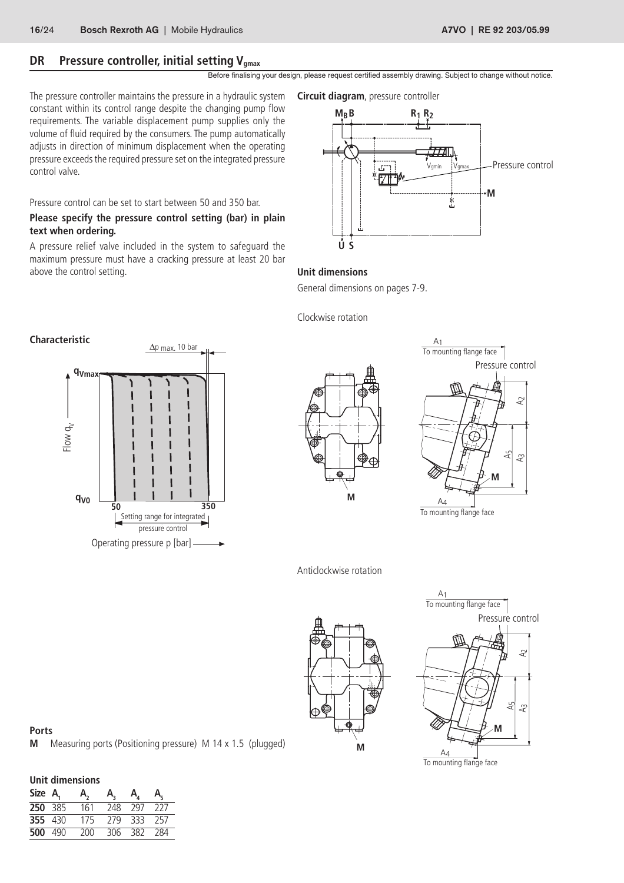## **DR** Pressure controller, initial setting Vgmax

Before finalising your design, please request certified assembly drawing. Subject to change without notice.

The pressure controller maintains the pressure in a hydraulic system constant within its control range despite the changing pump flow requirements. The variable displacement pump supplies only the volume of fluid required by the consumers. The pump automatically adjusts in direction of minimum displacement when the operating pressure exceeds the required pressure set on the integrated pressure control valve.

Pressure control can be set to start between 50 and 350 bar.

#### **Please specify the pressure control setting (bar) in plain text when ordering.**

A pressure relief valve included in the system to safeguard the maximum pressure must have a cracking pressure at least 20 bar above the control setting. **Unit dimensions**

**Circuit diagram**, pressure controller



General dimensions on pages 7-9.

Clockwise rotation







To mounting flange face

Anticlockwise rotation





**Ports M** Measuring ports (Positioning pressure) M 14 x 1.5 (plugged)

| Unit dimensions |  |     |                   |                            |       |  |  |
|-----------------|--|-----|-------------------|----------------------------|-------|--|--|
| Size A,         |  | A,  | A,                | $A_{\scriptscriptstyle A}$ | A.    |  |  |
| 250 385         |  | 161 | 248               | 797 227                    |       |  |  |
| 355 430         |  | 175 | - 279 - 333 - 257 |                            |       |  |  |
| 500 490         |  | 200 |                   | $306$ $382$                | - 284 |  |  |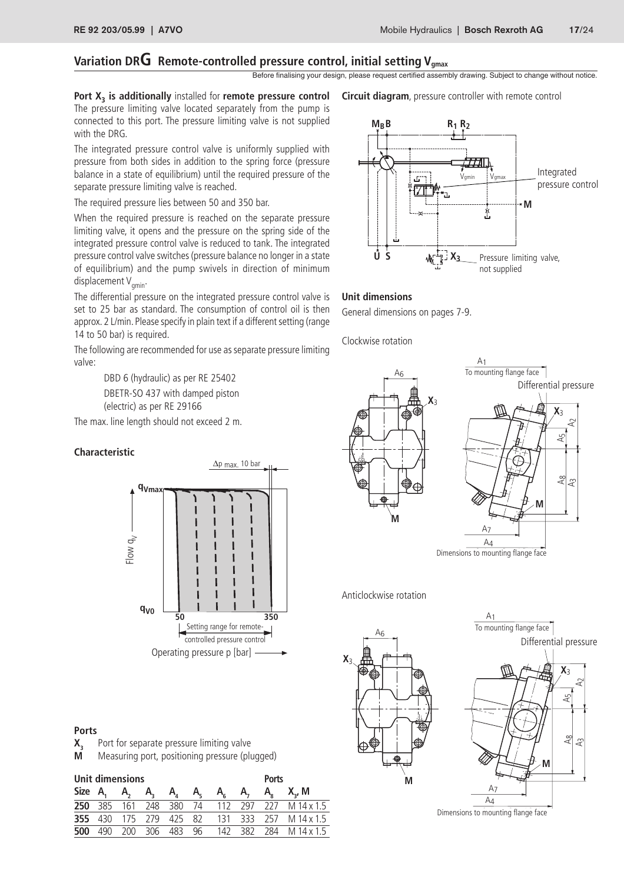## Variation DRG Remote-controlled pressure control, initial setting V<sub>gmax</sub>

Before finalising your design, please request certified assembly drawing. Subject to change without notice.

Port X<sub>3</sub> is additionally installed for remote pressure control The pressure limiting valve located separately from the pump is connected to this port. The pressure limiting valve is not supplied with the DRG.

The integrated pressure control valve is uniformly supplied with pressure from both sides in addition to the spring force (pressure balance in a state of equilibrium) until the required pressure of the separate pressure limiting valve is reached.

The required pressure lies between 50 and 350 bar.

When the required pressure is reached on the separate pressure limiting valve, it opens and the pressure on the spring side of the integrated pressure control valve is reduced to tank. The integrated pressure control valve switches (pressure balance no longer in a state of equilibrium) and the pump swivels in direction of minimum displacement V<sub>qmin</sub>.

The differential pressure on the integrated pressure control valve is set to 25 bar as standard. The consumption of control oil is then approx. 2 L/min. Please specify in plain text if a different setting (range 14 to 50 bar) is required.

The following are recommended for use as separate pressure limiting valve:

> DBD 6 (hydraulic) as per RE 25402 DBETR-SO 437 with damped piston (electric) as per RE 29166

The max. line length should not exceed 2 m.

#### **Characteristic**



### **Ports**

- **X<sub>3</sub>** Port for separate pressure limiting valve<br>**M** Measuring port, positioning pressure (plu
- **M** Measuring port, positioning pressure (plugged)

|     | Unit dimensions |  |  | <b>Ports</b>                         |  |                                                      |
|-----|-----------------|--|--|--------------------------------------|--|------------------------------------------------------|
|     |                 |  |  | Size A, A, A, A, A, A, A, A, A, X, M |  |                                                      |
|     |                 |  |  |                                      |  | <b>250</b> 385 161 248 380 74 112 297 227 M 14 x 1.5 |
|     |                 |  |  |                                      |  | <b>355</b> 430 175 279 425 82 131 333 257 M 14 x 1.5 |
| 500 |                 |  |  |                                      |  | 490 200 306 483 96 142 382 284 M 14 x 1.5            |

**Circuit diagram**, pressure controller with remote control



#### **Unit dimensions**

General dimensions on pages 7-9.

Clockwise rotation



Anticlockwise rotation





Dimensions to mounting flange face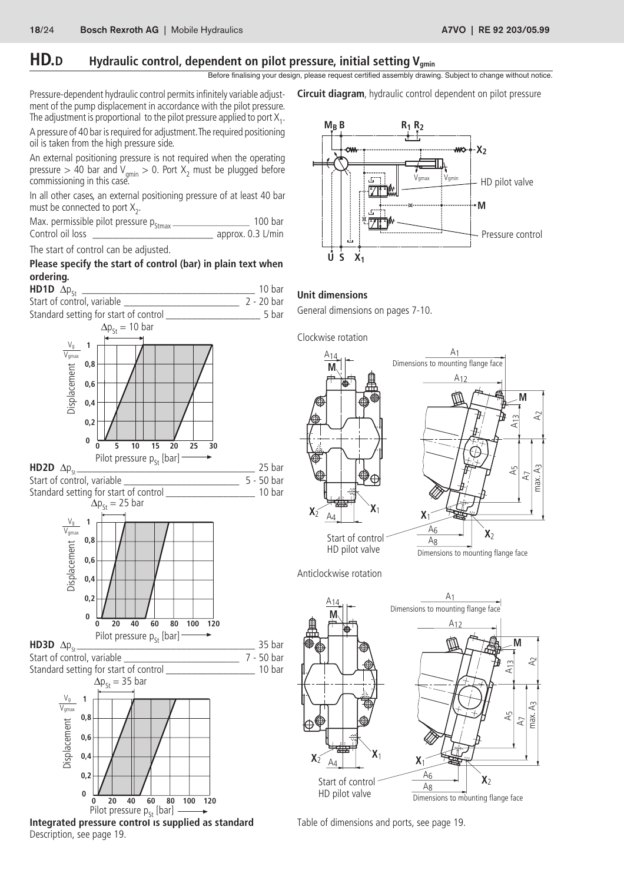## **HD.D** Hydraulic control, dependent on pilot pressure, initial setting V<sub>gmin</sub>

Before finalising your design, please request certified assembly drawing. Subject to change without notice.

Pressure-dependent hydraulic control permits infinitely variable adjust- **Circuit diagram**, hydraulic control dependent on pilot pressure ment of the pump displacement in accordance with the pilot pressure. The adjustment is proportional  $\,$  to the pilot pressure applied to port  $\mathsf{X}_{\mathsf{1}}.$ 

A pressure of 40 bar is required for adjustment. The required positioning oil is taken from the high pressure side.

An external positioning pressure is not required when the operating pressure  $> 40$  bar and V<sub>gmin</sub>  $> 0$ . Port  $X_2$  must be plugged before commissioning in this case.

In all other cases, an external positioning pressure of at least 40 bar must be connected to port  $X_2$ .

|                  | Max. permissible pilot pressure $p_{\text{Strax}}$ . | 100 bar           |
|------------------|------------------------------------------------------|-------------------|
| Control oil loss |                                                      | approx. 0.3 L/min |

The start of control can be adjusted.

#### **Please specify the start of control (bar) in plain text when ordering.**



**Integrated pressure control is supplied as standard** Description, see page 19.





## **Unit dimensions**

General dimensions on pages 7-10.



Dimensions to mounting flange face

max.  $A_3$   $A_2$ 

Æ max.

£

A7

**M**

A5

A13



Table of dimensions and ports, see page 19.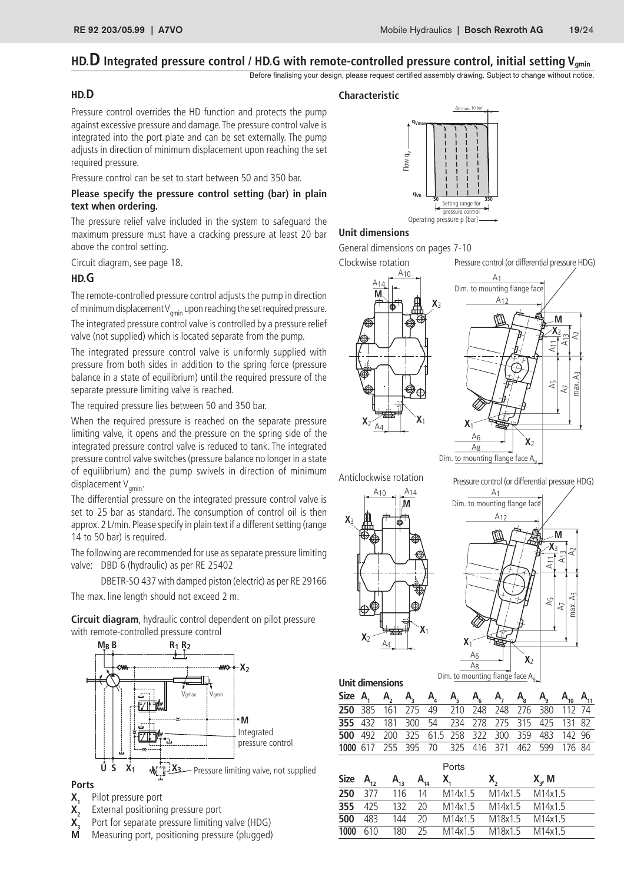## HD.<sup>D</sup> Integrated pressure control / HD.G with remote-controlled pressure control, initial setting V<sub>gmin</sub>

Before finalising your design, please request certified assembly drawing. Subject to change without notice.

#### **HD.D**

Pressure control overrides the HD function and protects the pump against excessive pressure and damage. The pressure control valve is integrated into the port plate and can be set externally. The pump adjusts in direction of minimum displacement upon reaching the set required pressure.

Pressure control can be set to start between 50 and 350 bar.

#### **Please specify the pressure control setting (bar) in plain text when ordering.**

The pressure relief valve included in the system to safeguard the maximum pressure must have a cracking pressure at least 20 bar above the control setting.

Circuit diagram, see page 18.

#### **HD.G**

The remote-controlled pressure control adjusts the pump in direction of minimum displacement  $V_{\text{min}}$  upon reaching the set required pressure. The integrated pressure control valve is controlled by a pressure relief valve (not supplied) which is located separate from the pump.

The integrated pressure control valve is uniformly supplied with pressure from both sides in addition to the spring force (pressure balance in a state of equilibrium) until the required pressure of the separate pressure limiting valve is reached.

The required pressure lies between 50 and 350 bar.

When the required pressure is reached on the separate pressure limiting valve, it opens and the pressure on the spring side of the integrated pressure control valve is reduced to tank. The integrated pressure control valve switches (pressure balance no longer in a state of equilibrium) and the pump swivels in direction of minimum displacement  $V_{\text{amin}}$ .

The differential pressure on the integrated pressure control valve is set to 25 bar as standard. The consumption of control oil is then approx. 2 L/min. Please specify in plain text if a different setting (range 14 to 50 bar) is required.

The following are recommended for use as separate pressure limiting valve: DBD 6 (hydraulic) as per RE 25402

DBETR-SO 437 with damped piston (electric) as per RE 29166 The max. line length should not exceed 2 m.

**Circuit diagram**, hydraulic control dependent on pilot pressure with remote-controlled pressure control



#### **Ports**

- **X<sub>1</sub>** Pilot pressure port<br>**X**<sub>2</sub> External positioning
- 
- **X<sub>2</sub>** External positioning pressure port<br>**X**<sub>2</sub> Port for separate pressure limiting **X<sub>3</sub>** Port for separate pressure limiting valve (HDG)<br>**M** Measuring port, positioning pressure (plugged)
- **M** Measuring port, positioning pressure (plugged)



#### **Unit dimensions**

General dimensions on pages 7-10

Clockwise rotation

Pressure control (or differential pressure HDG)





Anticlockwise rotation



Pressure control (or differential pressure HDG)



**Unit dimensions Size A1 A2 A3 A4 A5 A6 A7 A8 A9 A10 A11** 385 161 275 49 210 248 248 276 380 112 74 432 181 300 54 234 278 275 315 425 131 82 492 200 325 61.5 258 322 300 359 483 142 96 617 255 395 70 325 416 371 462 599 176 84

|             |          |          |          | Ports   |         |             |  |
|-------------|----------|----------|----------|---------|---------|-------------|--|
| <b>Size</b> | $A_{12}$ | $A_{13}$ | $A_{14}$ | X.      | $X_{n}$ | $X_{2}$ , M |  |
| 250         | 377      | 116      | 14       | M14x1.5 | M14x1.5 | M14x1.5     |  |
| 355         | 425      | 132      | 20       | M14x1.5 | M14x1.5 | M14x1.5     |  |
| 500         | 483      | 144      | 20       | M14x1.5 | M18x1.5 | M14x1.5     |  |
| 1000        | 610      | 180      | 25       | M14x1.5 | M18x1.5 | M14x1.5     |  |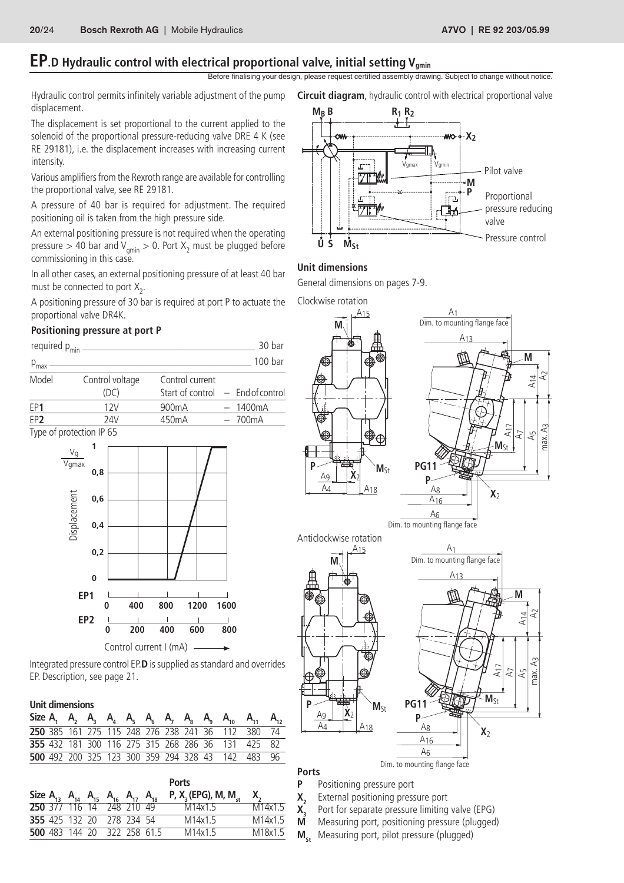# **EP.**D Hydraulic control with electrical proportional valve, initial setting V<sub>gmin</sub>

Before finalising your design, please request certified assembly drawing. Subject to change without notice.

Hydraulic control permits infinitely variable adjustment of the pump displacement.

The displacement is set proportional to the current applied to the solenoid of the proportional pressure-reducing valve DRE 4 K (see RE 29181), i.e. the displacement increases with increasing current intensity.

Various amplifiers from the Rexroth range are available for controlling the proportional valve, see RE 29181.

A pressure of 40 bar is required for adjustment. The required positioning oil is taken from the high pressure side.

An external positioning pressure is not required when the operating pressure  $>40$  bar and V $_{\mathsf{gmin}}>0.$  Port  $\mathsf{X}_2$  must be plugged before commissioning in this case.

In all other cases, an external positioning pressure of at least 40 bar must be connected to port  $X_2$ .

A positioning pressure of 30 bar is required at port P to actuate the proportional valve DR4K.

#### **Positioning pressure at port P**

| required $p_{\text{min}}$ .        |                 |                                     | 30 bar             |
|------------------------------------|-----------------|-------------------------------------|--------------------|
| $p_{max}$ –                        |                 |                                     | 100 <sub>bar</sub> |
| Model                              | Control voltage | Control current                     |                    |
|                                    | (DC)            | Start of control $-$ End of control |                    |
| EP1                                | 12V             | 900 <sub>m</sub> A                  | $-1400mA$          |
| EP <sub>2</sub>                    | 74V             | 450 <sub>m</sub> A                  | $-700mA$           |
| $\tau$ $\sim$ $\tau$ $\sim$ $\tau$ |                 |                                     |                    |

Type of protection IP 65



Integrated pressure control EP.**D** is supplied as standard and overrides EP. Description, see page 21.

#### **Unit dimensions**

|  |  |  |  |  | 250 385 161 275 115 248 276 238 241 36 112 380 74 |  |
|--|--|--|--|--|---------------------------------------------------|--|
|  |  |  |  |  | 355 432 181 300 116 275 315 268 286 36 131 425 82 |  |
|  |  |  |  |  | 500 492 200 325 123 300 359 294 328 43 142 483 96 |  |

|  |  |                                                            |                             | <b>Ports</b>                       |                     |
|--|--|------------------------------------------------------------|-----------------------------|------------------------------------|---------------------|
|  |  | Size $A_{13}$ $A_{14}$ $A_{15}$ $A_{16}$ $A_{17}$ $A_{18}$ |                             | P, $X_3$ (EPG), M, M <sub>et</sub> | $X_{\sim}$          |
|  |  | 250 377 116 14 248 210 49                                  |                             | M14x1 5                            | M14x1 5             |
|  |  | 355 425 132 20 278 234 54                                  |                             | M14x1.5                            | M14x1.5             |
|  |  |                                                            | 500 483 144 20 322 258 61.5 | M14x1.5                            | M <sub>18x1</sub> 5 |
|  |  |                                                            |                             |                                    |                     |



#### **Unit dimensions**

General dimensions on pages 7-9.

Clockwise rotation



Dim. to mounting flange face

**P** Positioning pressure port

**Ports**

- **X<sub>2</sub>** External positioning pressure port<br>**X**<sub>2</sub> Port for separate pressure limiting
- **X<sub>3</sub>** Port for separate pressure limiting valve (EPG)<br>**M** Measuring port, positioning pressure (plugged
- **M** Measuring port, positioning pressure (plugged)<br>**M** Measuring port, pilot pressure (plugged)
	- Measuring port, pilot pressure (plugged)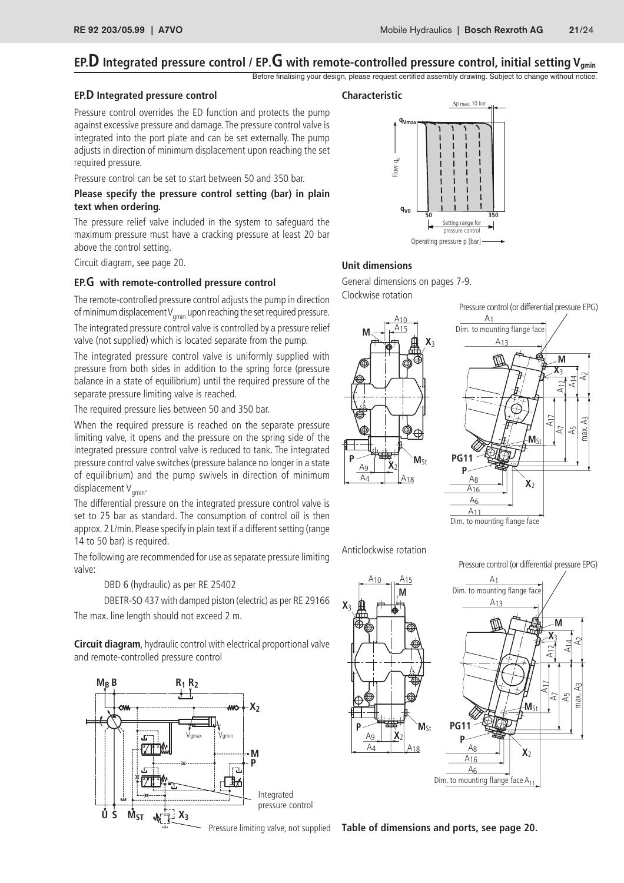## **EP.D** Integrated pressure control / EP.G with remote-controlled pressure control, initial setting V<sub>gmin</sub>

Before finalising your design, please request certified assembly drawing. Subject to change without notice.

#### **EP.D Integrated pressure control**

#### **Characteristic**

Pressure control overrides the ED function and protects the pump against excessive pressure and damage. The pressure control valve is integrated into the port plate and can be set externally. The pump adjusts in direction of minimum displacement upon reaching the set required pressure.

Pressure control can be set to start between 50 and 350 bar.

#### **Please specify the pressure control setting (bar) in plain text when ordering.**

The pressure relief valve included in the system to safeguard the maximum pressure must have a cracking pressure at least 20 bar above the control setting.

Circuit diagram, see page 20. **Unit dimensions**

#### **EP.G with remote-controlled pressure control**

The remote-controlled pressure control adjusts the pump in direction of minimum displacement  $V_{\text{min}}$  upon reaching the set required pressure.

The integrated pressure control valve is controlled by a pressure relief valve (not supplied) which is located separate from the pump.

The integrated pressure control valve is uniformly supplied with pressure from both sides in addition to the spring force (pressure balance in a state of equilibrium) until the required pressure of the separate pressure limiting valve is reached.

The required pressure lies between 50 and 350 bar.

When the required pressure is reached on the separate pressure limiting valve, it opens and the pressure on the spring side of the integrated pressure control valve is reduced to tank. The integrated pressure control valve switches (pressure balance no longer in a state of equilibrium) and the pump swivels in direction of minimum displacement  $V_{\text{amin}}$ .

The differential pressure on the integrated pressure control valve is set to 25 bar as standard. The consumption of control oil is then approx. 2 L/min. Please specify in plain text if a different setting (range 14 to 50 bar) is required.

The following are recommended for use as separate pressure limiting valve:

DBD 6 (hydraulic) as per RE 25402

DBETR-SO 437 with damped piston (electric) as per RE 29166

The max. line length should not exceed 2 m.

**Circuit diagram**, hydraulic control with electrical proportional valve and remote-controlled pressure control





General dimensions on pages 7-9.

Clockwise rotation





Anticlockwise rotation

Pressure control (or differential pressure EPG)



Pressure limiting valve, not supplied Table of dimensions and ports, see page 20.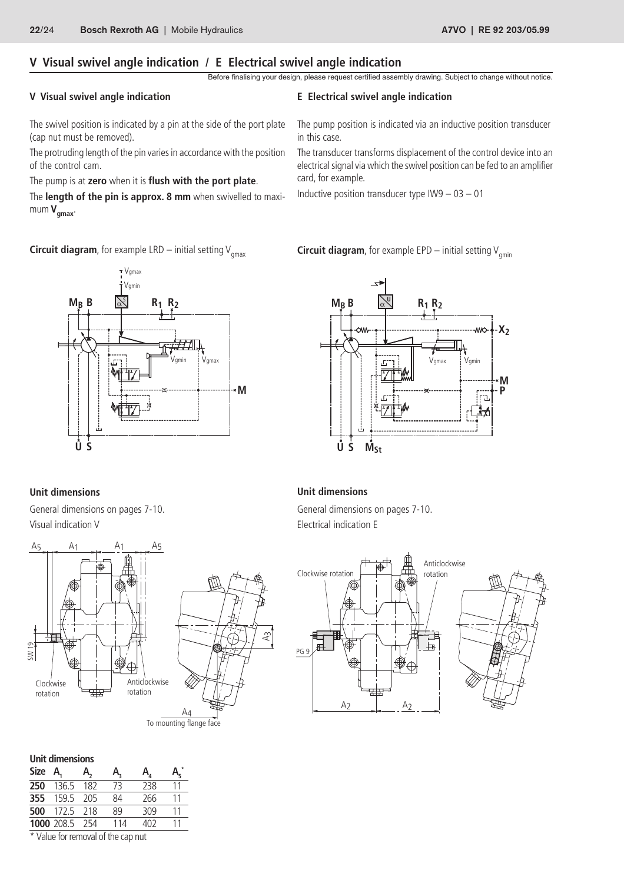## **V Visual swivel angle indication / E Electrical swivel angle indication**

Before finalising your design, please request certified assembly drawing. Subject to change without notice.

#### **V Visual swivel angle indication**

The swivel position is indicated by a pin at the side of the port plate (cap nut must be removed).

The protruding length of the pin varies in accordance with the position of the control cam.

#### The pump is at **zero** when it is **flush with the port plate**.

The **length of the pin is approx. 8 mm** when swivelled to maximum  $V_{\text{amax}}$ .





## **Unit dimensions**

Visual indication V **Electrical** indication E



| Unit dimensions |            |       |     |     |                         |  |  |
|-----------------|------------|-------|-----|-----|-------------------------|--|--|
| Size A,         |            | A.    | А,  | A,  | $\mathsf{A}_{\epsilon}$ |  |  |
| 250             | 136.5      | 182   | 73  | 238 | 11                      |  |  |
| 355             | 159.5      | 205   | 84  | 266 | 11                      |  |  |
| 500             | 172.5      | 218   | 89  | 309 | 11                      |  |  |
|                 | 1000 208.5 | - 254 | 114 | 402 | 11                      |  |  |

\* Value for removal of the cap nut



#### **Unit dimensions**

General dimensions on pages 7-10. General dimensions on pages 7-10.



#### **E Electrical swivel angle indication**

The pump position is indicated via an inductive position transducer in this case.

The transducer transforms displacement of the control device into an electrical signal via which the swivel position can be fed to an amplifier card, for example.

Inductive position transducer type  $109 - 03 - 01$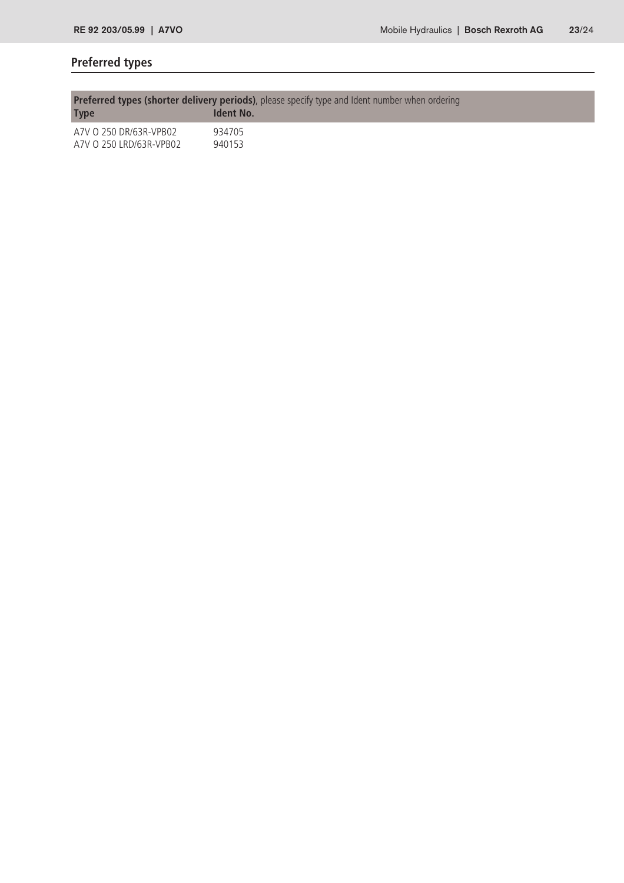# **Preferred types**

| <b>Preferred types (shorter delivery periods)</b> , please specify type and Ident number when ordering |                  |  |  |  |  |  |
|--------------------------------------------------------------------------------------------------------|------------------|--|--|--|--|--|
| <b>Type</b>                                                                                            | <b>Ident No.</b> |  |  |  |  |  |
| A7V O 250 DR/63R-VPB02                                                                                 | 934705           |  |  |  |  |  |
| A7V O 250 LRD/63R-VPB02                                                                                | 940153           |  |  |  |  |  |